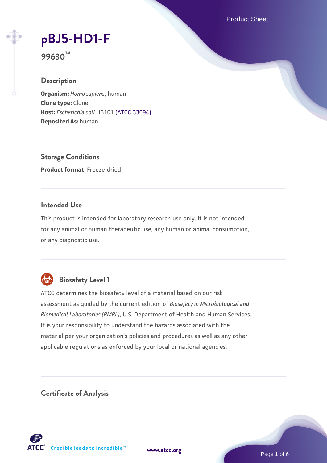Product Sheet

# **[pBJ5-HD1-F](https://www.atcc.org/products/99630)**

**99630™**

# **Description**

**Organism:** *Homo sapiens*, human **Clone type:** Clone **Host:** *Escherichia coli* HB101 [\(ATCC 33694\)](https://www.atcc.org/products/33694) **Deposited As:** human

**Storage Conditions Product format:** Freeze-dried

# **Intended Use**

This product is intended for laboratory research use only. It is not intended for any animal or human therapeutic use, any human or animal consumption, or any diagnostic use.



# **Biosafety Level 1**

ATCC determines the biosafety level of a material based on our risk assessment as guided by the current edition of *Biosafety in Microbiological and Biomedical Laboratories (BMBL)*, U.S. Department of Health and Human Services. It is your responsibility to understand the hazards associated with the material per your organization's policies and procedures as well as any other applicable regulations as enforced by your local or national agencies.

**Certificate of Analysis**

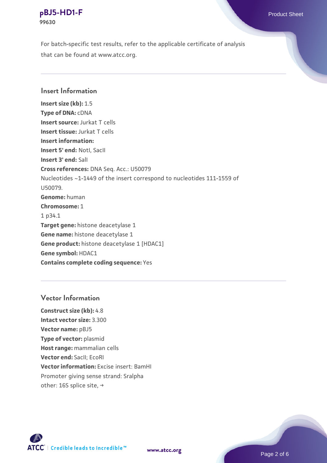For batch-specific test results, refer to the applicable certificate of analysis that can be found at www.atcc.org.

## **Insert Information**

**Insert size (kb):** 1.5 **Type of DNA:** cDNA **Insert source:** Jurkat T cells **Insert tissue:** Jurkat T cells **Insert information: Insert 5' end:** NotI, SacII **Insert 3' end:** SalI **Cross references:** DNA Seq. Acc.: U50079 Nucleotides ~1-1449 of the insert correspond to nucleotides 111-1559 of U50079. **Genome:** human **Chromosome:** 1 1 p34.1 **Target gene:** histone deacetylase 1 **Gene name:** histone deacetylase 1 **Gene product:** histone deacetylase 1 [HDAC1] **Gene symbol:** HDAC1 **Contains complete coding sequence:** Yes

#### **Vector Information**

**Construct size (kb):** 4.8 **Intact vector size:** 3.300 **Vector name:** pBJ5 **Type of vector:** plasmid **Host range:** mammalian cells **Vector end:** SacII; EcoRI **Vector information:** Excise insert: BamHI Promoter giving sense strand: Sralpha other: 16S splice site, →

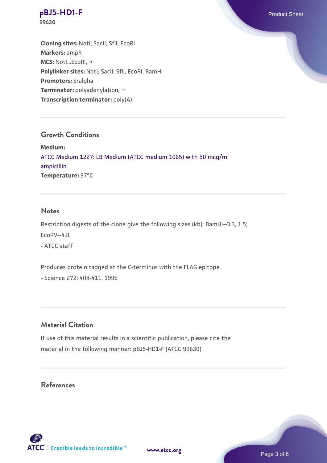**Cloning sites:** NotI; SacII; SfiI; EcoRI **Markers:** ampR **MCS:** NotI...EcoRI, → Polylinker sites: Notl; SacII; SfiI; EcoRI; BamHI **Promoters:** Sralpha **Terminator:** polyadenylation, → **Transcription terminator:** poly(A)

# **Growth Conditions**

**Medium:**  [ATCC Medium 1227: LB Medium \(ATCC medium 1065\) with 50 mcg/ml](https://www.atcc.org/-/media/product-assets/documents/microbial-media-formulations/1/2/2/7/atcc-medium-1227.pdf?rev=581c98603b3e4b29a6d62ee0ba9ca578) [ampicillin](https://www.atcc.org/-/media/product-assets/documents/microbial-media-formulations/1/2/2/7/atcc-medium-1227.pdf?rev=581c98603b3e4b29a6d62ee0ba9ca578) **Temperature:** 37°C

#### **Notes**

Restriction digests of the clone give the following sizes (kb): BamHI--3.3, 1.5; EcoRV--4.8. - ATCC staff

Produces protein tagged at the C-terminus with the FLAG epitope.

- Science 272: 408-411, 1996

# **Material Citation**

If use of this material results in a scientific publication, please cite the material in the following manner: pBJ5-HD1-F (ATCC 99630)

# **References**



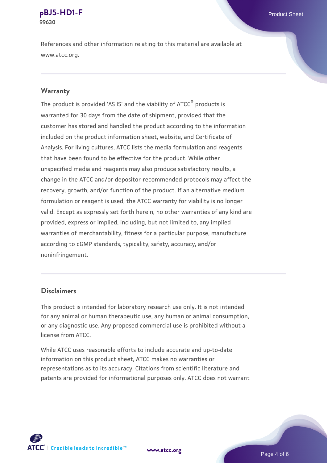References and other information relating to this material are available at www.atcc.org.

#### **Warranty**

The product is provided 'AS IS' and the viability of ATCC® products is warranted for 30 days from the date of shipment, provided that the customer has stored and handled the product according to the information included on the product information sheet, website, and Certificate of Analysis. For living cultures, ATCC lists the media formulation and reagents that have been found to be effective for the product. While other unspecified media and reagents may also produce satisfactory results, a change in the ATCC and/or depositor-recommended protocols may affect the recovery, growth, and/or function of the product. If an alternative medium formulation or reagent is used, the ATCC warranty for viability is no longer valid. Except as expressly set forth herein, no other warranties of any kind are provided, express or implied, including, but not limited to, any implied warranties of merchantability, fitness for a particular purpose, manufacture according to cGMP standards, typicality, safety, accuracy, and/or noninfringement.

## **Disclaimers**

This product is intended for laboratory research use only. It is not intended for any animal or human therapeutic use, any human or animal consumption, or any diagnostic use. Any proposed commercial use is prohibited without a license from ATCC.

While ATCC uses reasonable efforts to include accurate and up-to-date information on this product sheet, ATCC makes no warranties or representations as to its accuracy. Citations from scientific literature and patents are provided for informational purposes only. ATCC does not warrant



**[www.atcc.org](http://www.atcc.org)**

Page 4 of 6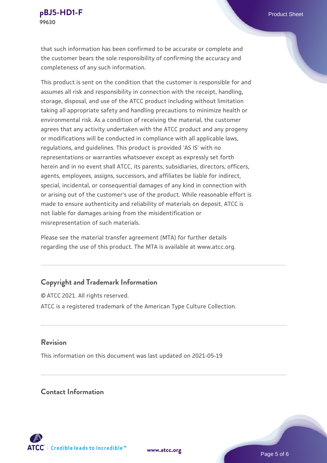that such information has been confirmed to be accurate or complete and the customer bears the sole responsibility of confirming the accuracy and completeness of any such information.

This product is sent on the condition that the customer is responsible for and assumes all risk and responsibility in connection with the receipt, handling, storage, disposal, and use of the ATCC product including without limitation taking all appropriate safety and handling precautions to minimize health or environmental risk. As a condition of receiving the material, the customer agrees that any activity undertaken with the ATCC product and any progeny or modifications will be conducted in compliance with all applicable laws, regulations, and guidelines. This product is provided 'AS IS' with no representations or warranties whatsoever except as expressly set forth herein and in no event shall ATCC, its parents, subsidiaries, directors, officers, agents, employees, assigns, successors, and affiliates be liable for indirect, special, incidental, or consequential damages of any kind in connection with or arising out of the customer's use of the product. While reasonable effort is made to ensure authenticity and reliability of materials on deposit, ATCC is not liable for damages arising from the misidentification or misrepresentation of such materials.

Please see the material transfer agreement (MTA) for further details regarding the use of this product. The MTA is available at www.atcc.org.

# **Copyright and Trademark Information**

© ATCC 2021. All rights reserved. ATCC is a registered trademark of the American Type Culture Collection.

# **Revision**

This information on this document was last updated on 2021-05-19

## **Contact Information**